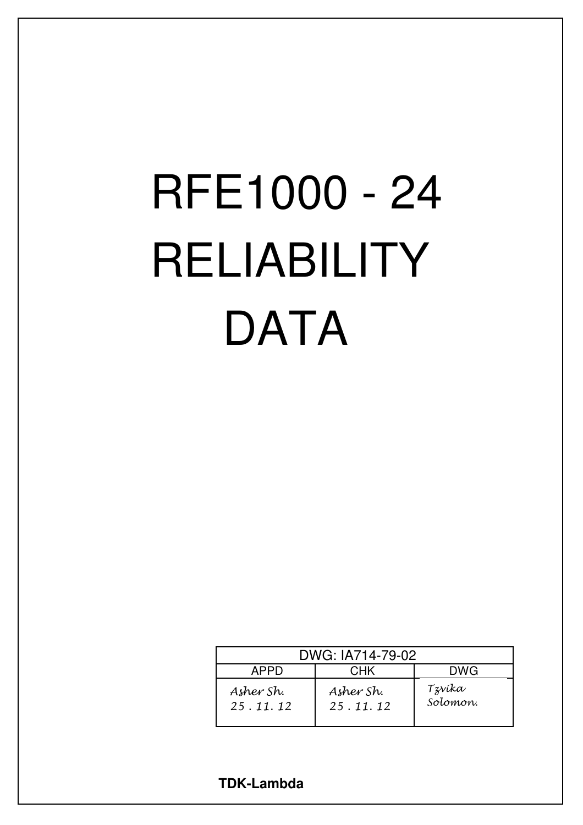# RFE1000 - 24 RELIABILITY **DATA**

| DWG: IA714-79-02      |                       |                    |  |  |
|-----------------------|-----------------------|--------------------|--|--|
| APPD                  | <b>CHK</b>            | <b>DWG</b>         |  |  |
| Asher Sh.<br>25.11.12 | Asher Sh.<br>25.11.12 | Tzvíka<br>Solomon. |  |  |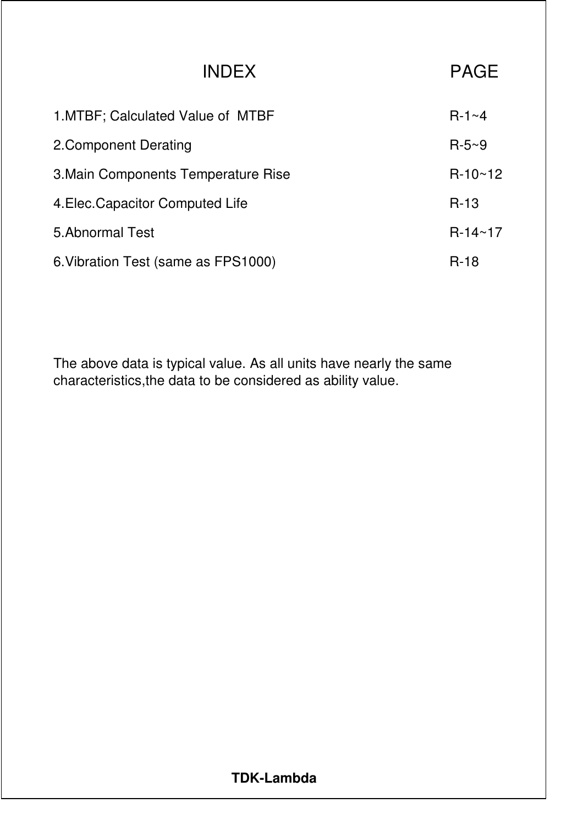| <b>INDEX</b>                        | <b>PAGE</b>  |
|-------------------------------------|--------------|
| 1. MTBF; Calculated Value of MTBF   | $R-1 \sim 4$ |
| 2. Component Derating               | $R-5-9$      |
| 3. Main Components Temperature Rise | $R-10~12$    |
| 4. Elec. Capacitor Computed Life    | $R-13$       |
| 5. Abnormal Test                    | $R-14~17$    |
| 6. Vibration Test (same as FPS1000) | $R-18$       |

The above data is typical value. As all units have nearly the same characteristics,the data to be considered as ability value.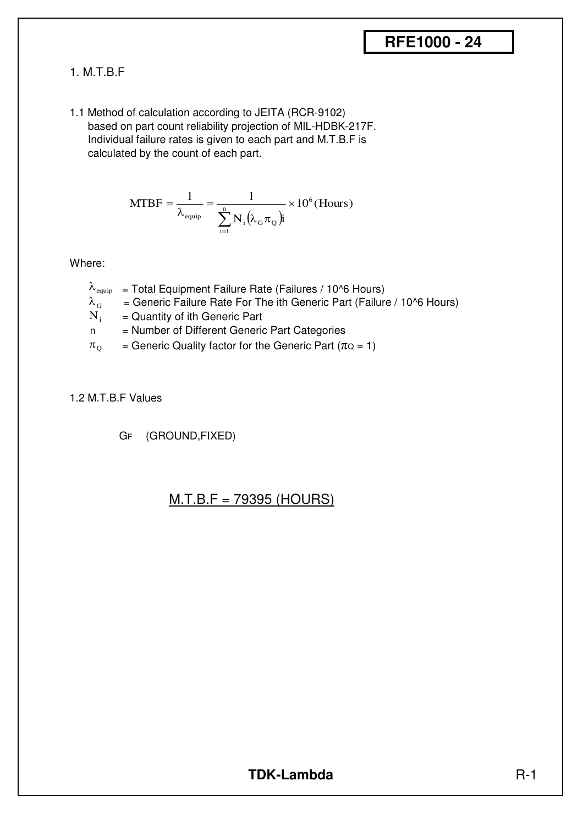#### 1. M.T.B.F

1.1 Method of calculation according to JEITA (RCR-9102) based on part count reliability projection of MIL-HDBK-217F. Individual failure rates is given to each part and M.T.B.F is calculated by the count of each part.

MTBF = 
$$
\frac{1}{\lambda_{\text{equip}}} = \frac{1}{\sum_{i=1}^{n} N_i (\lambda_{\text{G}} \pi_{\text{Q}}) i} \times 10^6 \text{(Hours)}
$$

Where:

- $\lambda_{\text{equip}}$  = Total Equipment Failure Rate (Failures / 10^6 Hours)
- = Generic Failure Rate For The ith Generic Part (Failure / 10^6 Hours)  $\lambda_{\rm G}$
- = Quantity of ith Generic Part  $N_i$
- n = Number of Different Generic Part Categories
- = Generic Quality factor for the Generic Part ( $\pi$ Q = 1)  $\pi$ <sub>O</sub>

#### 1.2 M.T.B.F Values

GF (GROUND,FIXED)

#### M.T.B.F = 79395 (HOURS)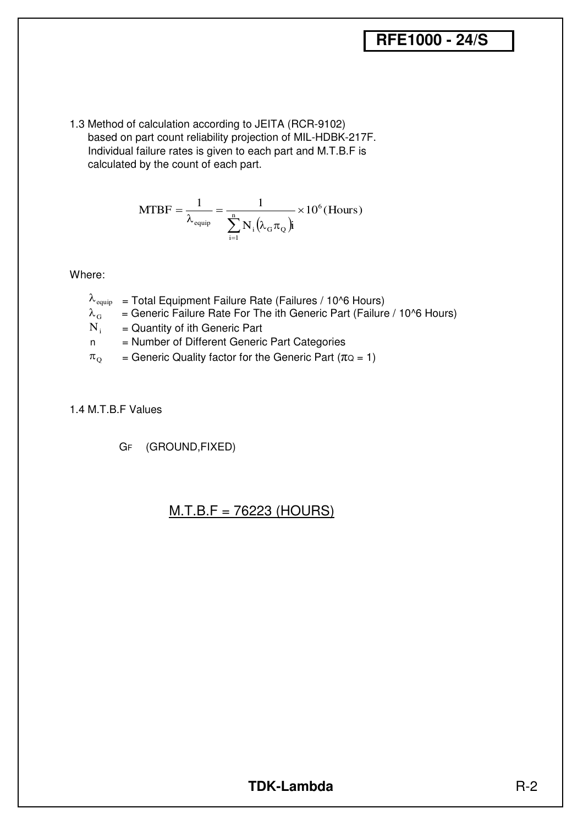## **RFE1000 - 24/S**

1.3 Method of calculation according to JEITA (RCR-9102) based on part count reliability projection of MIL-HDBK-217F. Individual failure rates is given to each part and M.T.B.F is calculated by the count of each part.

MTBF = 
$$
\frac{1}{\lambda_{\text{equip}}} = \frac{1}{\sum_{i=1}^{n} N_i (\lambda_{\text{G}} \pi_{\text{Q}}) i} \times 10^6 \text{(Hours)}
$$

Where:

- $\lambda_{\text{equip}}$  = Total Equipment Failure Rate (Failures / 10^6 Hours)
- = Generic Failure Rate For The ith Generic Part (Failure / 10^6 Hours)  $\lambda_{\rm G}$
- = Quantity of ith Generic Part  $N_i$
- n = Number of Different Generic Part Categories
- = Generic Quality factor for the Generic Part ( $\pi$ Q = 1)  $\pi^{\text{o}}$
- 1.4 M.T.B.F Values

GF (GROUND,FIXED)

#### M.T.B.F = 76223 (HOURS)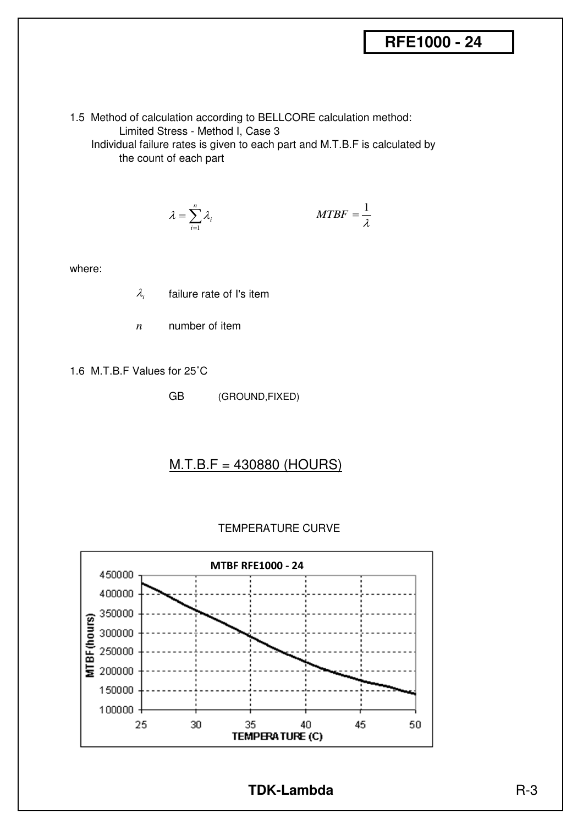1.5 Method of calculation according to BELLCORE calculation method: Limited Stress - Method I, Case 3

 Individual failure rates is given to each part and M.T.B.F is calculated by the count of each part

$$
\lambda = \sum_{i=1}^{n} \lambda_i
$$
 MTBF =  $\frac{1}{\lambda}$ 

where:

- failure rate of I's item λ*i*
- number of item *n*
- 1.6 M.T.B.F Values for 25˚C
	- GB (GROUND,FIXED)

#### M.T.B.F = 430880 (HOURS)



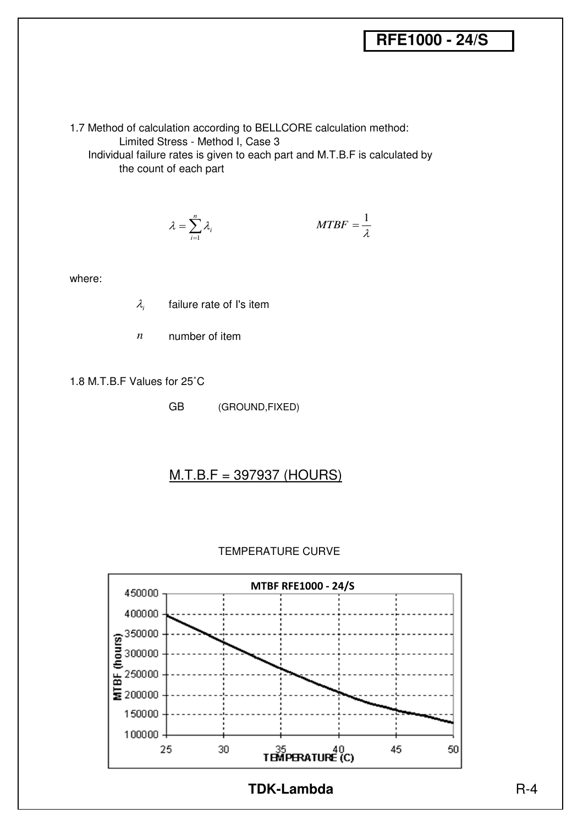## **RFE1000 - 24/S**

1.7 Method of calculation according to BELLCORE calculation method: Limited Stress - Method I, Case 3 Individual failure rates is given to each part and M.T.B.F is calculated by the count of each part

$$
\lambda = \sum_{i=1}^{n} \lambda_i
$$
 *MTBF* =  $\frac{1}{\lambda}$ 

where:

- failure rate of I's item λ*i*
- number of item *n*

1.8 M.T.B.F Values for 25˚C

GB (GROUND,FIXED)

#### M.T.B.F = 397937 (HOURS)



#### TEMPERATURE CURVE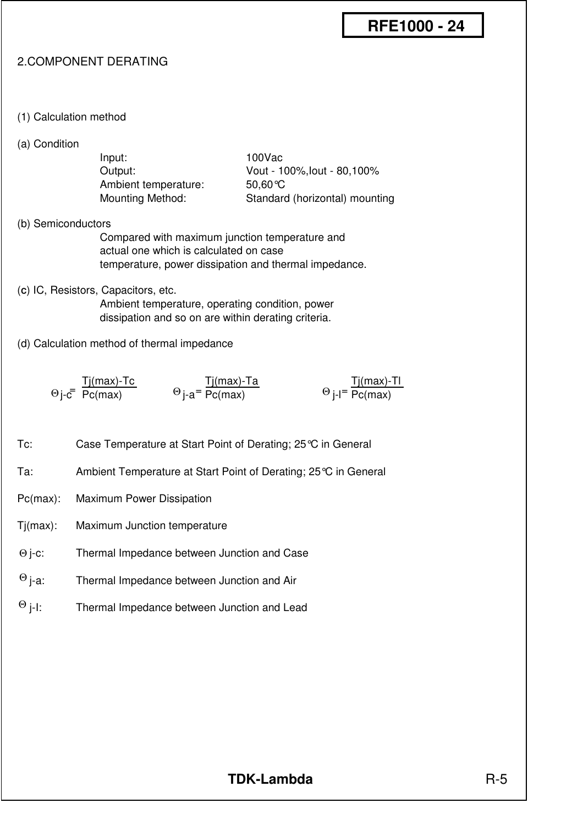#### 2.COMPONENT DERATING

- (1) Calculation method
- (a) Condition

| Input:                  |  |
|-------------------------|--|
| Output:                 |  |
| Ambient temperature:    |  |
| <b>Mounting Method:</b> |  |

100Vac Vout - 100%, lout - 80,100%  $50.60^{\circ}$ C Standard (horizontal) mounting

(b) Semiconductors

- Compared with maximum junction temperature and actual one which is calculated on case temperature, power dissipation and thermal impedance.
- (**C**) IC, Resistors, Capacitors, etc.

Ambient temperature, operating condition, power dissipation and so on are within derating criteria.

(d) Calculation method of thermal impedance

| Tj(max)-Tc           | Tj(max)-Ta                        | Tj(max)-Tl                        |
|----------------------|-----------------------------------|-----------------------------------|
| $\Theta$ j-c Pc(max) | $\Theta$ j-a <sup>=</sup> Pc(max) | $\Theta$ j-l <sup>=</sup> Pc(max) |

- Tc: Case Temperature at Start Point of Derating; 25°C in General
- Ta: Ambient Temperature at Start Point of Derating; 25°C in General
- Pc(max): Maximum Power Dissipation
- Tj(max): Maximum Junction temperature
- Thermal Impedance between Junction and Case Θ j-c:
- Thermal Impedance between Junction and Air  $Θ$  j-a:
- Thermal Impedance between Junction and Lead  $\Theta$  j-l: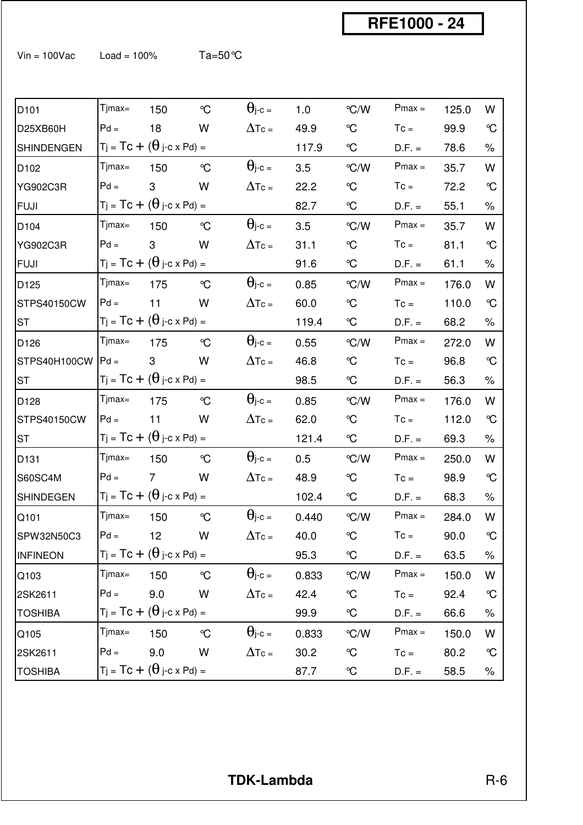Vin = 100Vac Load = 100%  $Ta=50^{\circ}C$ 

| D <sub>101</sub>  | Tjmax= | 150                                  | $\mathrm{C}$ | $\Theta$ j-c =     | 1.0   | $\degree$ C/W           | $Pmax =$ | 125.0 | W            |
|-------------------|--------|--------------------------------------|--------------|--------------------|-------|-------------------------|----------|-------|--------------|
| D25XB60H          | $Pd =$ | 18                                   | W            | $\Delta$ Tc =      | 49.9  | $\mathcal{C}$           | $Tc =$   | 99.9  | $\mathrm{C}$ |
| <b>SHINDENGEN</b> |        | $Tj = TC + (\theta j-c \times Pd) =$ |              |                    | 117.9 | $\mathrm{C}$            | $D.F. =$ | 78.6  | $\%$         |
| D <sub>102</sub>  | Tjmax= | 150                                  | $\mathrm{C}$ | $\Theta$ j-c =     | 3.5   | °C/W                    | $Pmax =$ | 35.7  | W            |
| YG902C3R          | $Pd =$ | 3                                    | W            | $\Delta$ Tc =      | 22.2  | $\mathcal{C}$           | $T_c =$  | 72.2  | $\mathrm{C}$ |
| <b>FUJI</b>       |        | $Tj = TC + (\theta j-c \times Pd) =$ |              |                    | 82.7  | $\mathrm{C}$            | $D.F. =$ | 55.1  | $\%$         |
| D <sub>104</sub>  | Tjmax= | 150                                  | $\mathrm{C}$ | $\Theta$ j-c =     | 3.5   | °C/W                    | $Pmax =$ | 35.7  | W            |
| <b>YG902C3R</b>   | $Pd =$ | 3                                    | W            | $\Delta$ Tc =      | 31.1  | $\mathcal{C}$           | $T_c =$  | 81.1  | $\mathrm{C}$ |
| <b>FUJI</b>       |        | $Tj = TC + (\theta j-c \times Pd) =$ |              |                    | 91.6  | $\mathrm{C}$            | $D.F. =$ | 61.1  | ℅            |
| D <sub>125</sub>  | Tjmax= | 175                                  | $\mathrm{C}$ | $\Theta$ j-c =     | 0.85  | °C/W                    | $Pmax =$ | 176.0 | W            |
| STPS40150CW       | $Pd =$ | 11                                   | W            | $\Delta$ Tc =      | 60.0  | $\mathcal{C}$           | $T_c =$  | 110.0 | $\mathrm{C}$ |
| <b>ST</b>         |        | $Tj = TC + (\theta j-c \times Pd) =$ |              |                    | 119.4 | $\mathrm{C}$            | $D.F. =$ | 68.2  | $\%$         |
| D <sub>126</sub>  | Tjmax= | 175                                  | $\mathrm{C}$ | $\theta$ j-c =     | 0.55  | °C/W                    | $Pmax =$ | 272.0 | W            |
| STPS40H100CW      | $Pd =$ | 3                                    | W            | $\Delta$ Tc =      | 46.8  | $\mathcal{C}$           | $T_c =$  | 96.8  | $\mathrm{C}$ |
| <b>ST</b>         |        | $Tj = TC + (\theta j-c \times Pd) =$ |              |                    | 98.5  | $\mathrm{C}$            | $D.F. =$ | 56.3  | $\%$         |
| D <sub>128</sub>  | Tjmax= | 175                                  | $\mathrm{C}$ | $\Theta$ j-c =     | 0.85  | °C/W                    | $Pmax =$ | 176.0 | W            |
| STPS40150CW       | $Pd =$ | 11                                   | W            | $\Delta$ Tc =      | 62.0  | $\mathcal{C}$           | $T_c =$  | 112.0 | $\mathrm{C}$ |
| <b>ST</b>         |        | $Tj = TC + (\theta j-c \times Pd) =$ |              |                    | 121.4 | $\mathrm{C}$            | $D.F. =$ | 69.3  | $\%$         |
| D <sub>131</sub>  | Tjmax= | 150                                  | $\mathrm{C}$ | $\theta$ j-c =     | 0.5   | $\degree$ C/W           | $Pmax =$ | 250.0 | W            |
| <b>S60SC4M</b>    | $Pd =$ | $\overline{7}$                       | W            | $\Delta$ Tc =      | 48.9  | $\mathcal{C}$           | $Tc =$   | 98.9  | $\mathrm{C}$ |
| <b>SHINDEGEN</b>  |        | $Tj = Tc + (\theta j-c \times Pd) =$ |              |                    | 102.4 | $\rm ^{\circ}\!C$       | $D.F. =$ | 68.3  | $\%$         |
| Q101              | Tjmax= | 150                                  | $\mathrm{C}$ | $\theta$ j-c =     | 0.440 | $\mathrm{C}/\mathrm{W}$ | $Pmax =$ | 284.0 | W            |
| SPW32N50C3        |        | $Pd = 12$ W                          |              | $\Delta$ Tc = 40.0 |       | $\rm ^{\circ}\!C$       | $Tc =$   | 90.0  | $\mathrm{C}$ |
| <b>INFINEON</b>   |        | $Tj = TC + (\theta j-c \times Pd) =$ |              |                    | 95.3  | $\mathrm{C}$            | $D.F. =$ | 63.5  | ℅            |
| Q103              | Tjmax= | 150                                  | $\mathrm{C}$ | $\Theta$ j-c =     | 0.833 | °C/W                    | $Pmax =$ | 150.0 | W            |
| 2SK2611           | $Pd =$ | 9.0                                  | W            | $\Delta$ Tc =      | 42.4  | $\rm ^o\!C$             | $Tc =$   | 92.4  | $\mathrm{C}$ |
| <b>TOSHIBA</b>    |        | $Tj = TC + (\theta j-c \times Pd) =$ |              |                    | 99.9  | $\mathrm{C}$            | $D.F. =$ | 66.6  | ℅            |
| Q105              | Tjmax= | 150                                  | $\mathrm{C}$ | $\Theta$ j-c =     | 0.833 | °C/W                    | $Pmax =$ | 150.0 | W            |
| 2SK2611           | $Pd =$ | 9.0                                  | W            | $\Delta$ Tc =      | 30.2  | $\mathrm{C}$            | $Tc =$   | 80.2  | $\mathrm{C}$ |
| <b>TOSHIBA</b>    |        | $Tj = TC + (\theta j-c \times Pd) =$ |              |                    | 87.7  | $\mathrm{C}$            | $D.F. =$ | 58.5  | $\%$         |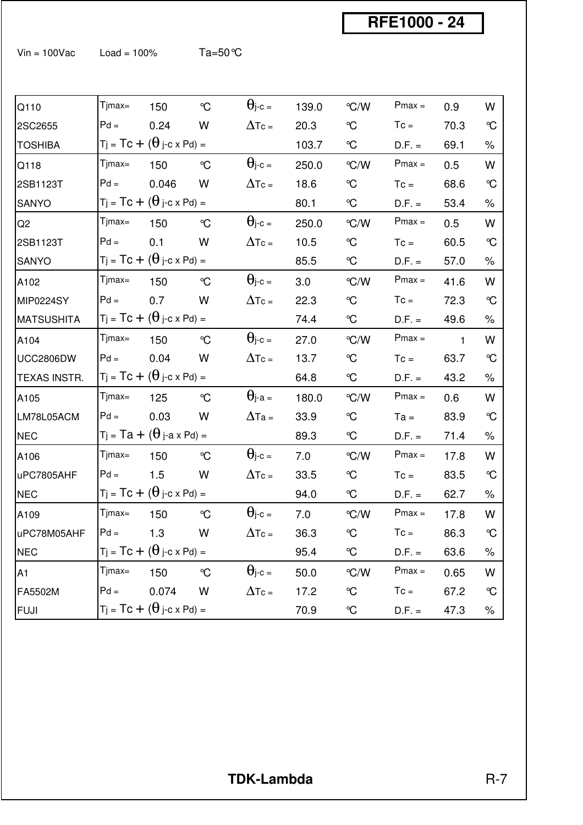Vin = 100Vac Load = 100%  $Ta=50^{\circ}C$ 

| Q110              | Tjmax=     | 150                                   | $\mathrm{C}$ | $\Theta$ j-c = | 139.0 | °C/W          | $Pmax =$ | 0.9          | W            |
|-------------------|------------|---------------------------------------|--------------|----------------|-------|---------------|----------|--------------|--------------|
| 2SC2655           | $Pd =$     | 0.24                                  | W            | $\Delta$ Tc =  | 20.3  | $\mathrm{C}$  | $T_c =$  | 70.3         | $\mathrm{C}$ |
| <b>TOSHIBA</b>    |            | $Tj = TC + (\theta j-c \times Pd) =$  |              |                | 103.7 | $\mathrm{C}$  | $D.F. =$ | 69.1         | $\%$         |
| Q118              | Tjmax=     | 150                                   | $\mathrm{C}$ | $\Theta$ j-c = | 250.0 | °C/W          | $Pmax =$ | 0.5          | W            |
| 2SB1123T          | $Pd =$     | 0.046                                 | W            | $\Delta$ Tc =  | 18.6  | $\mathrm{C}$  | $T_c =$  | 68.6         | $\mathrm{C}$ |
| SANYO             |            | $Tj = TC + (\theta j-c \times Pd) =$  |              |                | 80.1  | $\infty$      | $D.F. =$ | 53.4         | $\%$         |
| Q <sub>2</sub>    | Tjmax=     | 150                                   | $\mathrm{C}$ | $\Theta$ j-c = | 250.0 | $\degree$ C/W | $Pmax =$ | 0.5          | W            |
| 2SB1123T          | $Pd =$     | 0.1                                   | W            | $\Delta$ Tc =  | 10.5  | $\mathcal{C}$ | $T_c =$  | 60.5         | $\mathrm{C}$ |
| SANYO             |            | $Tj = TC + (\theta j-c \times Pd) =$  |              |                | 85.5  | $\infty$      | $D.F. =$ | 57.0         | $\%$         |
| A102              | Tjmax=     | 150                                   | $\mathrm{C}$ | $\Theta$ j-c = | 3.0   | $\degree$ C/W | $Pmax =$ | 41.6         | W            |
| MIP0224SY         | $Pd =$     | 0.7                                   | W            | $\Delta$ Tc =  | 22.3  | $\mathrm{C}$  | $T_c =$  | 72.3         | $\mathrm{C}$ |
| <b>MATSUSHITA</b> |            | $Tj = TC + (\theta j-c \times Pd) =$  |              |                | 74.4  | $\mathrm{C}$  | $D.F. =$ | 49.6         | $\%$         |
| A104              | Tjmax=     | 150                                   | $\mathrm{C}$ | $\Theta$ j-c = | 27.0  | °C/W          | $Pmax =$ | $\mathbf{1}$ | W            |
| <b>UCC2806DW</b>  | $Pd =$     | 0.04                                  | W            | $\Delta$ Tc =  | 13.7  | $\mathrm{C}$  | $T_c =$  | 63.7         | $\mathrm{C}$ |
| TEXAS INSTR.      |            | $T_j = Tc + (\theta_j-c \times Pd) =$ |              |                | 64.8  | $\infty$      | $D.F. =$ | 43.2         | $\%$         |
| A105              | Tjmax=     | 125                                   | $\mathrm{C}$ | $\Theta$ j-a = | 180.0 | $\degree$ C/W | $Pmax =$ | 0.6          | W            |
| LM78L05ACM        | $Pd =$     | 0.03                                  | W            | $\Delta$ Ta =  | 33.9  | °C            | $Ta =$   | 83.9         | $\mathrm{C}$ |
| <b>NEC</b>        |            | $Tj = Ta + (\theta j-a \times Pd) =$  |              |                | 89.3  | $\infty$      | $D.F. =$ | 71.4         | $\%$         |
| A106              | Tjmax=     | 150                                   | $\mathrm{C}$ | $\Theta$ j-c = | 7.0   | $\degree$ C/W | $Pmax =$ | 17.8         | W            |
| uPC7805AHF        | $Pd =$     | 1.5                                   | W            | $\Delta$ Tc =  | 33.5  | °C            | $Tc =$   | 83.5         | $\mathrm{C}$ |
| <b>NEC</b>        |            | $Tj = TC + (\theta j-c \times Pd) =$  |              |                | 94.0  | $\infty$      | $D.F. =$ | 62.7         | $\%$         |
| A109              | $T$ jmax=  | 150                                   | $\mathrm{C}$ | $\theta$ j-c = | 7.0   | $\degree$ C/W | $Pmax =$ | 17.8         | W            |
| uPC78M05AHF       | $Pd = 1.3$ |                                       | W            | $\Delta$ Tc =  | 36.3  | $\mathrm{C}$  | $Tc =$   | 86.3         | $\mathrm{C}$ |
| <b>NEC</b>        |            | $Tj = Tc + (\theta j-c \times Pd) =$  |              |                | 95.4  | $\mathrm{C}$  | $D.F. =$ | 63.6         | ℅            |
| A1                | $T$ jmax=  | 150                                   | $\mathrm{C}$ | $\Theta$ j-c = | 50.0  | °C/W          | $Pmax =$ | 0.65         | W            |
| FA5502M           | $Pd =$     | 0.074                                 | W            | $\Delta$ Tc =  | 17.2  | $\mathcal{C}$ | $Tc =$   | 67.2         | $\mathrm{C}$ |
| <b>FUJI</b>       |            | $Tj = TC + (\theta j-c \times Pd) =$  |              |                | 70.9  | °C            | $D.F. =$ | 47.3         | $\%$         |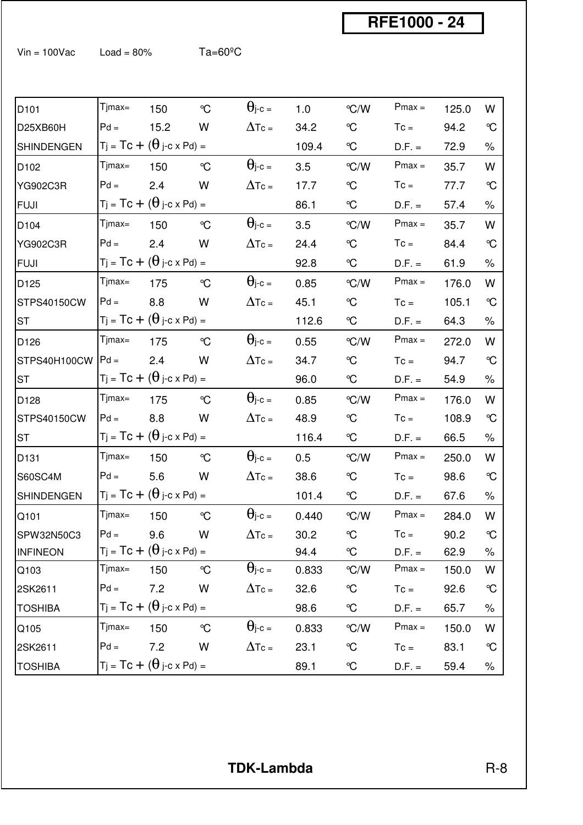$V$ in = 100Vac Load = 80% Ta=60<sup>o</sup>C

| D <sub>101</sub> | Tjmax=    | 150                                   | $\mathrm{C}$ | $\Theta$ j-c =             | 1.0   | $\mathrm{C}/\mathrm{W}$ | $Pmax =$ | 125.0 | W            |
|------------------|-----------|---------------------------------------|--------------|----------------------------|-------|-------------------------|----------|-------|--------------|
| D25XB60H         | $Pd =$    | 15.2                                  | W            | $\Delta$ Tc =              | 34.2  | $\mathcal{C}$           | $T_c =$  | 94.2  | $\mathrm{C}$ |
| SHINDENGEN       |           | $T_j = Tc + (\theta_j-c \times Pd) =$ |              |                            | 109.4 | $\mathrm{C}$            | $D.F. =$ | 72.9  | $\%$         |
| D102             | Tjmax=    | 150                                   | $\mathrm{C}$ | $\Theta$ j-c =             | 3.5   | $\degree$ C/W           | $Pmax =$ | 35.7  | W            |
| <b>YG902C3R</b>  | $Pd =$    | 2.4                                   | W            | $\Delta$ Tc =              | 17.7  | $\mathrm{C}$            | $T_c =$  | 77.7  | $\mathrm{C}$ |
| <b>FUJI</b>      |           | $Tj = TC + (\theta j-c \times Pd) =$  |              |                            | 86.1  | $\mathrm{C}$            | $D.F. =$ | 57.4  | $\%$         |
| D104             | Tjmax=    | 150                                   | $\mathrm{C}$ | $\Theta$ j-c =             | 3.5   | $\degree$ C/W           | $Pmax =$ | 35.7  | W            |
| YG902C3R         | $Pd =$    | 2.4                                   | W            | $\Delta$ Tc =              | 24.4  | $\mathrm{C}$            | $T_c =$  | 84.4  | $\mathrm{C}$ |
| <b>FUJI</b>      |           | $Tj = Tc + (\theta j-c \times Pd) =$  |              |                            | 92.8  | $\mathrm{C}$            | $D.F. =$ | 61.9  | $\%$         |
| D125             | Tjmax=    | 175                                   | $\mathrm{C}$ | $\theta$ j-c =             | 0.85  | $\degree$ C/W           | $Pmax =$ | 176.0 | W            |
| STPS40150CW      | $Pd =$    | 8.8                                   | W            | $\Delta$ Tc =              | 45.1  | $\mathcal{C}$           | $T_c =$  | 105.1 | $\mathrm{C}$ |
| <b>ST</b>        |           | $Tj = TC + (\theta j-c \times Pd) =$  |              |                            | 112.6 | $\mathrm{C}$            | $D.F. =$ | 64.3  | $\%$         |
| D126             | Tjmax=    | 175                                   | $\mathrm{C}$ | $\Theta$ j-c =             | 0.55  | $\degree$ C/W           | $Pmax =$ | 272.0 | W            |
| STPS40H100CW     | $Pd =$    | 2.4                                   | W            | $\Delta$ Tc =              | 34.7  | $\mathcal{C}$           | $T_c =$  | 94.7  | $\mathrm{C}$ |
| <b>ST</b>        |           | $Tj = TC + (\theta j-c \times Pd) =$  |              |                            | 96.0  | $\mathrm{C}$            | $D.F. =$ | 54.9  | $\%$         |
| D128             | Tjmax=    | 175                                   | $\mathrm{C}$ | $\Theta$ j-c =             | 0.85  | °C/W                    | $Pmax =$ | 176.0 | W            |
| STPS40150CW      | $Pd =$    | 8.8                                   | W            | $\Delta \text{Te} =$       | 48.9  | $\mathcal{C}$           | $T_c =$  | 108.9 | $\mathrm{C}$ |
| ST               |           | $Tj = TC + (\theta j-c \times Pd) =$  |              |                            | 116.4 | $\mathrm{C}$            | $D.F. =$ | 66.5  | $\%$         |
| D131             | Tjmax=    | 150                                   | $\mathrm{C}$ | $\theta$ <sub>i</sub> -c = | 0.5   | $\degree$ C/W           | $Pmax =$ | 250.0 | W            |
| S60SC4M          | $Pd =$    | 5.6                                   | W            | $\Delta$ Tc =              | 38.6  | °C                      | $T_c =$  | 98.6  | $\mathrm{C}$ |
| SHINDENGEN       |           | $T_j = Tc + (\theta_j-c \times Pd) =$ |              |                            | 101.4 | $\mathrm{C}$            | $D.F. =$ | 67.6  | $\%$         |
| Q101             | Tjmax=    | 150                                   | $\mathrm{C}$ | $\Theta$ j-c =             | 0.440 | $\degree$ C/W           | $Pmax =$ | 284.0 | W            |
| SPW32N50C3       |           | $Pd = 9.6$ W                          |              | $\Delta$ Tc =              | 30.2  | $\mathrm{C}$            | $T_c =$  | 90.2  | $\mathrm{C}$ |
| <b>INFINEON</b>  |           | $Tj = TC + (\theta j-c \times Pd) =$  |              |                            | 94.4  | $\mathrm{C}$            | $D.F. =$ | 62.9  | $\%$         |
| Q103             | Tjmax=    | 150                                   | $\mathrm{C}$ | $\Theta$ j-c =             | 0.833 | $\degree$ C/W           | $Pmax =$ | 150.0 | W            |
| 2SK2611          | $Pd =$    | 7.2                                   | W            | $\Delta \text{Tc} =$       | 32.6  | $\rm ^o\!C$             | $Tc =$   | 92.6  | $\mathrm{C}$ |
| <b>TOSHIBA</b>   |           | $Tj = TC + (\theta j-c \times Pd) =$  |              |                            | 98.6  | $\mathrm{C}$            | $D.F. =$ | 65.7  | $\%$         |
| Q105             | $Timax =$ | 150                                   | $\mathrm{C}$ | $\Theta$ j-c =             | 0.833 | $\degree$ C/W           | $Pmax =$ | 150.0 | W            |
| 2SK2611          | $Pd =$    | 7.2                                   | W            | $\Delta \text{Tc} =$       | 23.1  | $\mathcal{C}$           | $Tc =$   | 83.1  | $\mathrm{C}$ |
| <b>TOSHIBA</b>   |           | $Tj = TC + (\theta j-c \times Pd) =$  |              |                            | 89.1  | $\mathrm{C}$            | $D.F. =$ | 59.4  | $\%$         |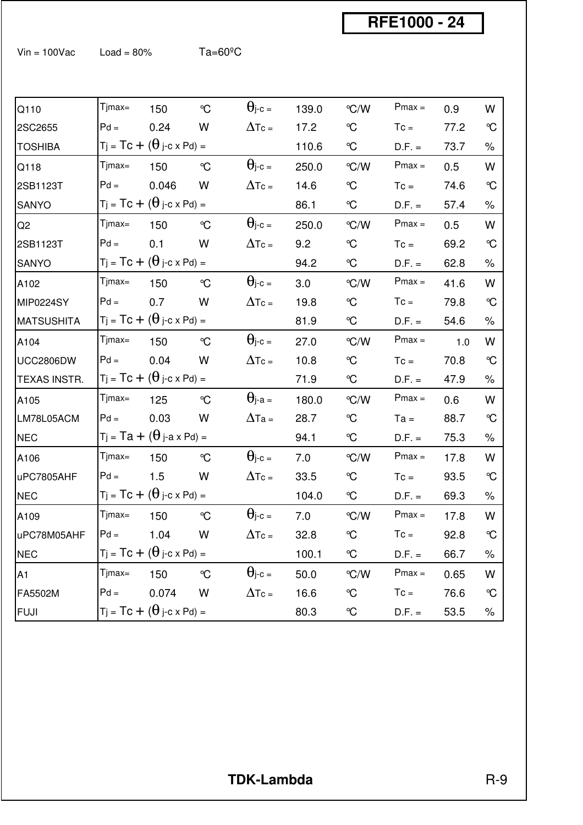$V$ in = 100Vac Load = 80% Ta=60<sup>o</sup>C

| Q110              | Tjmax=        | 150                                     | $\mathrm{C}$ | $\Theta$ j-c = | 139.0 | $\degree$ C/W | $Pmax =$ | 0.9  | W            |
|-------------------|---------------|-----------------------------------------|--------------|----------------|-------|---------------|----------|------|--------------|
| 2SC2655           | $Pd =$        | 0.24                                    | W            | $\Delta$ Tc =  | 17.2  | $\mathrm{C}$  | $T_c =$  | 77.2 | $\mathrm{C}$ |
| <b>TOSHIBA</b>    |               | $T_j = Tc + (\theta_j-c \times Pd) =$   |              |                | 110.6 | °C            | $D.F. =$ | 73.7 | $\%$         |
| Q118              | Tjmax=        | 150                                     | $\mathrm{C}$ | $\Theta$ j-c = | 250.0 | $\degree$ C/W | $Pmax =$ | 0.5  | W            |
| 2SB1123T          | $Pd =$        | 0.046                                   | W            | $\Delta$ Tc =  | 14.6  | $\mathrm{C}$  | $T_c =$  | 74.6 | $\mathrm{C}$ |
| SANYO             |               | $T_j = Tc + (\theta_j-c \times Pd) =$   |              |                | 86.1  | °C            | $D.F. =$ | 57.4 | $\%$         |
| Q <sub>2</sub>    | $T$ jmax=     | 150                                     | $\mathrm{C}$ | $\Theta$ j-c = | 250.0 | $\degree$ C/W | $Pmax =$ | 0.5  | W            |
| 2SB1123T          | $Pd =$        | 0.1                                     | W            | $\Delta$ Tc =  | 9.2   | $\mathrm{C}$  | $T_c =$  | 69.2 | $\mathrm{C}$ |
| SANYO             |               | $T_j = Tc + (\theta_j-c \times Pd) =$   |              |                | 94.2  | °C            | $D.F. =$ | 62.8 | $\%$         |
| A102              | $T$ jmax=     | 150                                     | $\mathrm{C}$ | $\Theta$ j-c = | 3.0   | $\degree$ C/W | $Pmax =$ | 41.6 | W            |
| MIP0224SY         | $Pd =$        | 0.7                                     | W            | $\Delta$ Tc =  | 19.8  | $\mathrm{C}$  | $T_c =$  | 79.8 | $\mathrm{C}$ |
| <b>MATSUSHITA</b> |               | $T_j = Tc + (\theta_j-c \times Pd) =$   |              |                | 81.9  | °C            | $D.F. =$ | 54.6 | $\%$         |
| A104              | $T$ jmax=     | 150                                     | $\mathrm{C}$ | $\Theta$ j-c = | 27.0  | $\degree$ C/W | $Pmax =$ | 1.0  | W            |
| <b>UCC2806DW</b>  | $Pd =$        | 0.04                                    | W            | $\Delta$ Tc =  | 10.8  | $\mathrm{C}$  | $T_c =$  | 70.8 | $\mathrm{C}$ |
| TEXAS INSTR.      |               | $T_j = Tc + (\theta_j-c \times Pd) =$   |              |                | 71.9  | $\infty$      | $D.F. =$ | 47.9 | $\%$         |
| A105              | Tjmax=        | 125                                     | $\mathrm{C}$ | $\Theta$ j-a = | 180.0 | $\degree$ C/W | $Pmax =$ | 0.6  | W            |
| LM78L05ACM        | $Pd =$        | 0.03                                    | W            | $\Delta$ Ta =  | 28.7  | $\mathrm{C}$  | $Ta =$   | 88.7 | $\mathrm{C}$ |
| <b>NEC</b>        |               | $T_j = Ta + (\theta_j-a \times Pd) =$   |              |                | 94.1  | °C            | $D.F. =$ | 75.3 | $\%$         |
| A106              | Tjmax=        | 150                                     | $\mathrm{C}$ | $\Theta$ j-c = | 7.0   | $\degree$ C/W | $Pmax =$ | 17.8 | W            |
| uPC7805AHF        | $Pd =$        | 1.5                                     | W            | $\Delta$ Tc =  | 33.5  | $\mathrm{C}$  | $T_c =$  | 93.5 | $\mathrm{C}$ |
| <b>NEC</b>        |               | $T_j = Tc + (\theta_j-c \times Pd) =$   |              |                | 104.0 | $\mathrm{C}$  | $D.F. =$ | 69.3 | $\%$         |
| A109              | $T$ jmax=     | 150                                     | $\mathrm{C}$ | $\Theta$ j-c = | 7.0   | $\degree$ C/W | $Pmax =$ | 17.8 | W            |
| uPC78M05AHF       | $Pd = 1.04$ W |                                         |              | $\Delta$ Tc =  | 32.8  | $\mathrm{C}$  | $Tc =$   | 92.8 | $\mathrm{C}$ |
| NEC               |               | $T_j = Tc + (\theta_j-c \times Pd) =$   |              |                | 100.1 | $\mathrm{C}$  | $D.F. =$ | 66.7 | $\%$         |
| A1                | $Timax =$     | 150                                     | $\mathrm{C}$ | $\Theta$ j-c = | 50.0  | °C/W          | $Pmax =$ | 0.65 | W            |
| FA5502M           | $Pd =$        | 0.074                                   | W            | $\Delta$ Tc =  | 16.6  | $\mathrm{C}$  | $Tc =$   | 76.6 | $\mathrm{C}$ |
| <b>FUJI</b>       |               | $T_j = Tc + (\theta_j - c \times Pd) =$ |              |                | 80.3  | $\mathrm{C}$  | $D.F. =$ | 53.5 | $\%$         |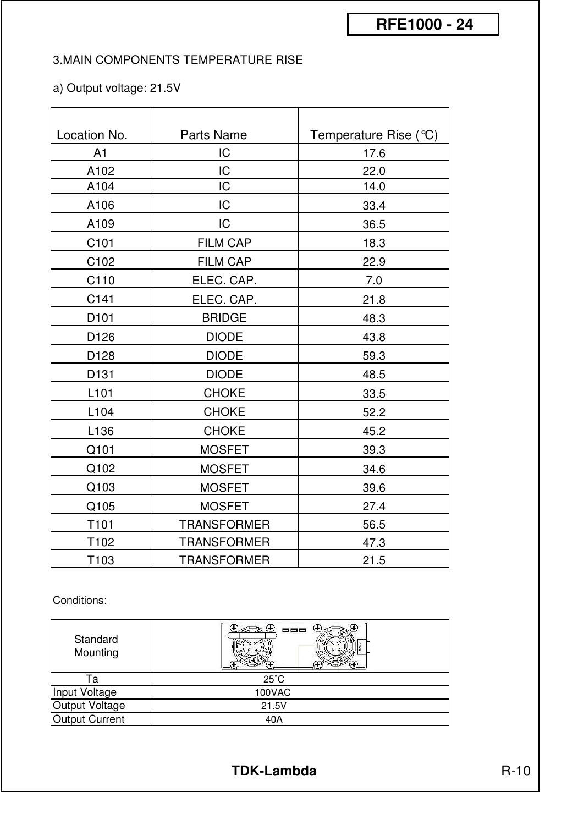#### 3.MAIN COMPONENTS TEMPERATURE RISE

#### a) Output voltage: 21.5V

| Location No.     | <b>Parts Name</b>  | Temperature Rise $(°C)$ |
|------------------|--------------------|-------------------------|
| A <sub>1</sub>   | IC                 | 17.6                    |
| A102             | IC                 | 22.0                    |
| A104             | IC                 | 14.0                    |
| A106             | IC                 | 33.4                    |
| A109             | IC                 | 36.5                    |
| C101             | <b>FILM CAP</b>    | 18.3                    |
| C102             | <b>FILM CAP</b>    | 22.9                    |
| C110             | ELEC. CAP.         | 7.0                     |
| C141             | ELEC. CAP.         | 21.8                    |
| D <sub>101</sub> | <b>BRIDGE</b>      | 48.3                    |
| D126             | <b>DIODE</b>       | 43.8                    |
| D128             | <b>DIODE</b>       | 59.3                    |
| D131             | <b>DIODE</b>       | 48.5                    |
| L <sub>101</sub> | <b>CHOKE</b>       | 33.5                    |
| L <sub>104</sub> | <b>CHOKE</b>       | 52.2                    |
| L136             | <b>CHOKE</b>       | 45.2                    |
| Q101             | <b>MOSFET</b>      | 39.3                    |
| Q102             | <b>MOSFET</b>      | 34.6                    |
| Q103             | <b>MOSFET</b>      | 39.6                    |
| Q105             | <b>MOSFET</b>      | 27.4                    |
| T101             | <b>TRANSFORMER</b> | 56.5                    |
| T102             | <b>TRANSFORMER</b> | 47.3                    |
| T103             | <b>TRANSFORMER</b> | 21.5                    |

#### Conditions:

| Standard<br>Mounting  | 000            |
|-----------------------|----------------|
| Га                    | $25^{\circ}$ C |
| Input Voltage         | 100VAC         |
| Output Voltage        | 21.5V          |
| <b>Output Current</b> | 40A            |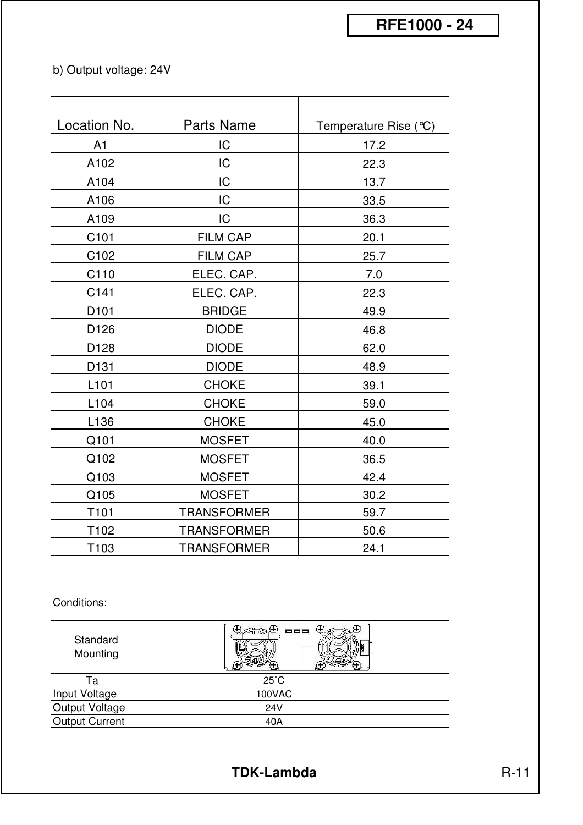## b) Output voltage: 24V

| Location No.     | <b>Parts Name</b>  | Temperature Rise (°C) |
|------------------|--------------------|-----------------------|
| A1               | IC                 | 17.2                  |
| A102             | IC                 | 22.3                  |
| A104             | IC                 | 13.7                  |
| A106             | IC                 | 33.5                  |
| A109             | IC                 | 36.3                  |
| C101             | <b>FILM CAP</b>    | 20.1                  |
| C102             | FILM CAP           | 25.7                  |
| C110             | ELEC. CAP.         | 7.0                   |
| C141             | ELEC. CAP.         | 22.3                  |
| D <sub>101</sub> | <b>BRIDGE</b>      | 49.9                  |
| D126             | <b>DIODE</b>       | 46.8                  |
| D128             | <b>DIODE</b>       | 62.0                  |
| D131             | <b>DIODE</b>       | 48.9                  |
| L <sub>101</sub> | <b>CHOKE</b>       | 39.1                  |
| L104             | <b>CHOKE</b>       | 59.0                  |
| L136             | <b>CHOKE</b>       | 45.0                  |
| Q101             | <b>MOSFET</b>      | 40.0                  |
| Q102             | <b>MOSFET</b>      | 36.5                  |
| Q103             | <b>MOSFET</b>      | 42.4                  |
| Q105             | <b>MOSFET</b>      | 30.2                  |
| T101             | <b>TRANSFORMER</b> | 59.7                  |
| T102             | <b>TRANSFORMER</b> | 50.6                  |
| T103             | <b>TRANSFORMER</b> | 24.1                  |

Conditions:

| Standard<br>Mounting  | --             |
|-----------------------|----------------|
| Га                    | $25^{\circ}$ C |
| Input Voltage         | 100VAC         |
| Output Voltage        | 24V            |
| <b>Output Current</b> | 40A            |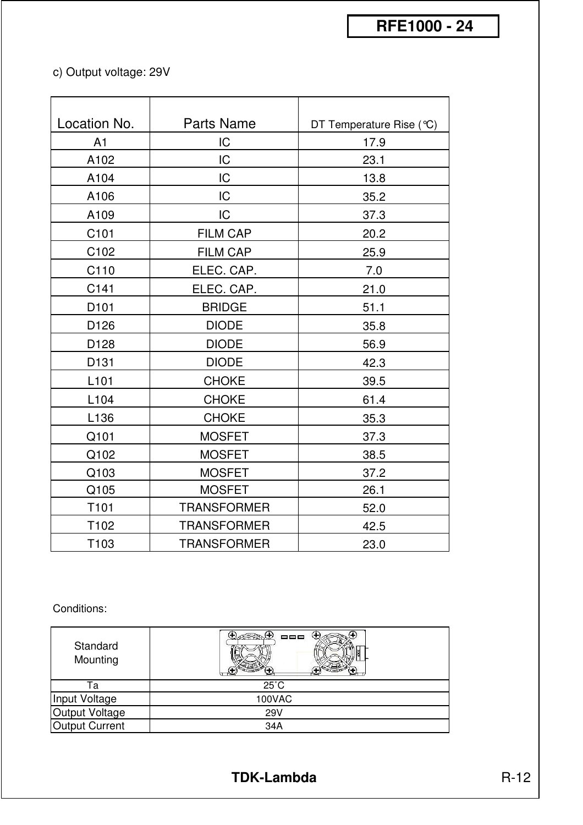## c) Output voltage: 29V

| Location No.     | Parts Name         | DT Temperature Rise (°C) |  |  |  |
|------------------|--------------------|--------------------------|--|--|--|
| A1               | IC                 | 17.9                     |  |  |  |
| A102             | IC                 | 23.1                     |  |  |  |
| A104             | IC                 | 13.8                     |  |  |  |
| A106             | IC                 | 35.2                     |  |  |  |
| A109             | IC                 | 37.3                     |  |  |  |
| C101             | <b>FILM CAP</b>    | 20.2                     |  |  |  |
| C102             | FILM CAP           | 25.9                     |  |  |  |
| C110             | ELEC. CAP.         | 7.0                      |  |  |  |
| C141             | ELEC. CAP.         | 21.0                     |  |  |  |
| D <sub>101</sub> | <b>BRIDGE</b>      | 51.1                     |  |  |  |
| D126             | <b>DIODE</b>       | 35.8                     |  |  |  |
| D128             | <b>DIODE</b>       | 56.9                     |  |  |  |
| D131             | <b>DIODE</b>       | 42.3                     |  |  |  |
| L <sub>101</sub> | <b>CHOKE</b>       | 39.5                     |  |  |  |
| L104             | <b>CHOKE</b>       | 61.4                     |  |  |  |
| L136             | <b>CHOKE</b>       | 35.3                     |  |  |  |
| Q101             | <b>MOSFET</b>      | 37.3                     |  |  |  |
| Q102             | <b>MOSFET</b>      | 38.5                     |  |  |  |
| Q103             | <b>MOSFET</b>      | 37.2                     |  |  |  |
| Q105             | <b>MOSFET</b>      | 26.1                     |  |  |  |
| T101             | <b>TRANSFORMER</b> | 52.0                     |  |  |  |
| T102             | <b>TRANSFORMER</b> | 42.5                     |  |  |  |
| T103             | <b>TRANSFORMER</b> | 23.0                     |  |  |  |

#### Conditions:

| Standard<br>Mounting | 000            |
|----------------------|----------------|
| ۱a                   | $25^{\circ}$ C |
| Input Voltage        | 100VAC         |
| Output Voltage       | <b>29V</b>     |
| Output Current       | 34A            |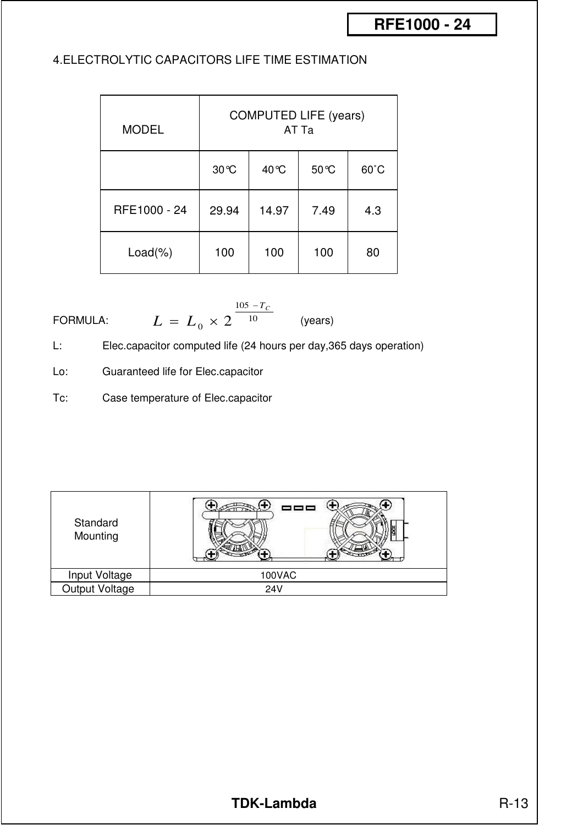#### 4.ELECTROLYTIC CAPACITORS LIFE TIME ESTIMATION

| <b>MODEL</b> | <b>COMPUTED LIFE (years)</b><br>AT Ta |       |       |                |  |  |  |  |  |  |
|--------------|---------------------------------------|-------|-------|----------------|--|--|--|--|--|--|
|              | 30 °C                                 | 40 °C | 50 °C | $60^{\circ}$ C |  |  |  |  |  |  |
| RFE1000 - 24 | 29.94                                 | 14.97 | 7.49  | 4.3            |  |  |  |  |  |  |
| $Load(\%)$   | 100                                   | 100   | 100   | 80             |  |  |  |  |  |  |

FORMULA: 
$$
L = L_0 \times 2^{\frac{105 - T_c}{10}}
$$
 (years)

L: Elec.capacitor computed life (24 hours per day,365 days operation)

Lo: Guaranteed life for Elec.capacitor

Tc: Case temperature of Elec.capacitor

| Standard<br>Mounting |               |
|----------------------|---------------|
| Input Voltage        | <b>100VAC</b> |
| Output Voltage       | <b>24V</b>    |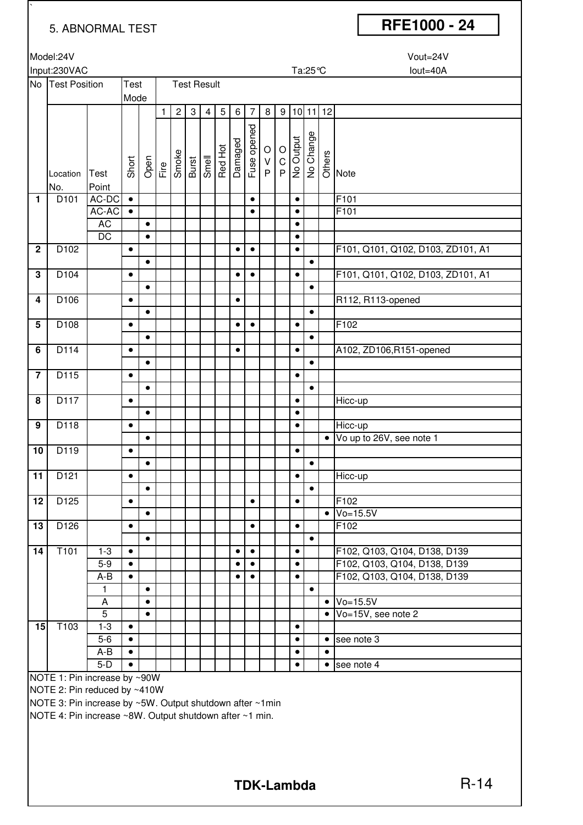`

## 5. ABNORMAL TEST **RFE1000 - 24**

| Model:24V | Vout=24V |
|-----------|----------|

|                 | Input:230VAC                 |                 |           |           |              |                |                    |                |         |                |                |               | Ta:25℃<br>lout=40A                      |           |           |           |                                   |  |  |  |
|-----------------|------------------------------|-----------------|-----------|-----------|--------------|----------------|--------------------|----------------|---------|----------------|----------------|---------------|-----------------------------------------|-----------|-----------|-----------|-----------------------------------|--|--|--|
|                 | No Test Position             |                 | Test      |           |              |                | <b>Test Result</b> |                |         |                |                |               |                                         |           |           |           |                                   |  |  |  |
|                 |                              |                 | Mode      |           |              |                |                    |                |         |                |                |               |                                         |           |           |           |                                   |  |  |  |
|                 |                              |                 |           |           | $\mathbf{1}$ | 2 <sup>1</sup> | $\sqrt{3}$         | $\overline{4}$ | 5       | 6 <sup>1</sup> | $\overline{7}$ | 8             | 9                                       |           | 10 11 12  |           |                                   |  |  |  |
|                 |                              |                 |           |           |              |                |                    |                |         |                |                |               |                                         |           |           |           |                                   |  |  |  |
|                 |                              |                 |           |           |              |                |                    |                |         |                | Fuse opened    |               |                                         |           |           |           |                                   |  |  |  |
|                 |                              |                 |           |           |              |                |                    |                |         |                |                | $\circ$       |                                         |           |           |           |                                   |  |  |  |
|                 |                              |                 |           |           |              |                |                    |                |         |                |                |               |                                         |           |           |           |                                   |  |  |  |
|                 | Location                     | Test            | Short     |           | Open<br>Fire |                | Smoke<br>Burst     | Smell          | Red Hot | Damaged        |                | $\frac{V}{P}$ | $\begin{array}{c}\n0 \\ 0\n\end{array}$ | No Output | No Change |           | Others<br>O<br>Note               |  |  |  |
|                 | No.                          | Point           |           |           |              |                |                    |                |         |                |                |               |                                         |           |           |           |                                   |  |  |  |
| 1               | D <sub>101</sub>             | AC-DC           | $\bullet$ |           |              |                |                    |                |         |                | $\bullet$      |               |                                         | $\bullet$ |           |           | F101                              |  |  |  |
|                 |                              | AC-AC           | $\bullet$ |           |              |                |                    |                |         |                | $\bullet$      |               |                                         | $\bullet$ |           |           | F101                              |  |  |  |
|                 |                              | <b>AC</b>       |           | $\bullet$ |              |                |                    |                |         |                |                |               |                                         | $\bullet$ |           |           |                                   |  |  |  |
|                 |                              | $\overline{DC}$ |           | $\bullet$ |              |                |                    |                |         |                |                |               |                                         | $\bullet$ |           |           |                                   |  |  |  |
| $\mathbf 2$     | D102                         |                 | $\bullet$ |           |              |                |                    |                |         | $\bullet$      | $\bullet$      |               |                                         | $\bullet$ |           |           | F101, Q101, Q102, D103, ZD101, A1 |  |  |  |
|                 |                              |                 |           | $\bullet$ |              |                |                    |                |         |                |                |               |                                         |           | $\bullet$ |           |                                   |  |  |  |
| 3               | D104                         |                 | $\bullet$ |           |              |                |                    |                |         | $\bullet$      | $\bullet$      |               |                                         | $\bullet$ |           |           | F101, Q101, Q102, D103, ZD101, A1 |  |  |  |
|                 |                              |                 |           | $\bullet$ |              |                |                    |                |         |                |                |               |                                         |           | $\bullet$ |           |                                   |  |  |  |
| 4               | D106                         |                 | $\bullet$ |           |              |                |                    |                |         | $\bullet$      |                |               |                                         |           |           |           | R112, R113-opened                 |  |  |  |
|                 |                              |                 |           | $\bullet$ |              |                |                    |                |         |                |                |               |                                         |           | $\bullet$ |           |                                   |  |  |  |
| 5               | D108                         |                 | $\bullet$ |           |              |                |                    |                |         | $\bullet$      | $\bullet$      |               |                                         | $\bullet$ |           |           | F102                              |  |  |  |
|                 |                              |                 |           | $\bullet$ |              |                |                    |                |         |                |                |               |                                         |           | $\bullet$ |           |                                   |  |  |  |
| 6               | D114                         |                 | $\bullet$ |           |              |                |                    |                |         | $\bullet$      |                |               |                                         | $\bullet$ |           |           | A102, ZD106, R151-opened          |  |  |  |
|                 |                              |                 |           | $\bullet$ |              |                |                    |                |         |                |                |               |                                         |           | $\bullet$ |           |                                   |  |  |  |
| $\overline{7}$  | D115                         |                 | $\bullet$ |           |              |                |                    |                |         |                |                |               |                                         | $\bullet$ |           |           |                                   |  |  |  |
|                 |                              |                 |           | $\bullet$ |              |                |                    |                |         |                |                |               |                                         |           | $\bullet$ |           |                                   |  |  |  |
| 8               | D117                         |                 | $\bullet$ |           |              |                |                    |                |         |                |                |               |                                         | $\bullet$ |           |           | Hicc-up                           |  |  |  |
|                 |                              |                 |           | $\bullet$ |              |                |                    |                |         |                |                |               |                                         | $\bullet$ |           |           |                                   |  |  |  |
| 9               | D118                         |                 | $\bullet$ |           |              |                |                    |                |         |                |                |               |                                         | $\bullet$ |           |           | Hicc-up                           |  |  |  |
|                 |                              |                 |           | $\bullet$ |              |                |                    |                |         |                |                |               |                                         |           |           | $\bullet$ | Vo up to 26V, see note 1          |  |  |  |
| 10              | D119                         |                 | $\bullet$ |           |              |                |                    |                |         |                |                |               |                                         | $\bullet$ |           |           |                                   |  |  |  |
|                 |                              |                 |           | $\bullet$ |              |                |                    |                |         |                |                |               |                                         |           | $\bullet$ |           |                                   |  |  |  |
| 11              | D121                         |                 | $\bullet$ |           |              |                |                    |                |         |                |                |               |                                         | $\bullet$ |           |           | Hicc-up                           |  |  |  |
|                 |                              |                 |           | $\bullet$ |              |                |                    |                |         |                |                |               |                                         |           | $\bullet$ |           |                                   |  |  |  |
| $\overline{12}$ | D125                         |                 | $\bullet$ |           |              |                |                    |                |         |                | $\bullet$      |               |                                         | $\bullet$ |           |           | F102                              |  |  |  |
|                 |                              |                 |           | $\bullet$ |              |                |                    |                |         |                |                |               |                                         |           |           | $\bullet$ | $Vo=15.5V$                        |  |  |  |
| 13              | D126                         |                 | $\bullet$ |           |              |                |                    |                |         |                | $\bullet$      |               |                                         | $\bullet$ |           |           | F102                              |  |  |  |
|                 |                              |                 |           | $\bullet$ |              |                |                    |                |         |                |                |               |                                         |           | $\bullet$ |           |                                   |  |  |  |
| 14              | T <sub>101</sub>             | $1-3$           | $\bullet$ |           |              |                |                    |                |         |                | $\bullet$      |               |                                         | $\bullet$ |           |           | F102, Q103, Q104, D138, D139      |  |  |  |
|                 |                              | $5-9$           | $\bullet$ |           |              |                |                    |                |         |                | $\bullet$      |               |                                         | $\bullet$ |           |           | F102, Q103, Q104, D138, D139      |  |  |  |
|                 |                              | A-B             | $\bullet$ |           |              |                |                    |                |         |                | $\bullet$      |               |                                         | $\bullet$ |           |           | F102, Q103, Q104, D138, D139      |  |  |  |
|                 |                              | $\mathbf{1}$    |           | $\bullet$ |              |                |                    |                |         |                |                |               |                                         |           | $\bullet$ |           |                                   |  |  |  |
|                 |                              | A               |           | $\bullet$ |              |                |                    |                |         |                |                |               |                                         |           |           | $\bullet$ | $Vo=15.5V$                        |  |  |  |
|                 |                              | $\overline{5}$  |           | $\bullet$ |              |                |                    |                |         |                |                |               |                                         |           |           | $\bullet$ | Vo=15V, see note 2                |  |  |  |
| 15              | T103                         | $1 - 3$         | $\bullet$ |           |              |                |                    |                |         |                |                |               |                                         | $\bullet$ |           |           |                                   |  |  |  |
|                 |                              | $5-6$           | $\bullet$ |           |              |                |                    |                |         |                |                |               |                                         | $\bullet$ |           | $\bullet$ | see note 3                        |  |  |  |
|                 |                              | A-B             | $\bullet$ |           |              |                |                    |                |         |                |                |               |                                         | $\bullet$ |           | $\bullet$ |                                   |  |  |  |
|                 |                              | $5-D$           | $\bullet$ |           |              |                |                    |                |         |                |                |               |                                         | $\bullet$ |           | $\bullet$ | see note 4                        |  |  |  |
|                 | NOTE 1: Pin increase by ~90W |                 |           |           |              |                |                    |                |         |                |                |               |                                         |           |           |           |                                   |  |  |  |
|                 |                              |                 |           |           |              |                |                    |                |         |                |                |               |                                         |           |           |           |                                   |  |  |  |

NOTE 2: Pin reduced by ~410W

NOTE 3: Pin increase by ~5W. Output shutdown after ~1min

NOTE 4: Pin increase ~8W. Output shutdown after ~1 min.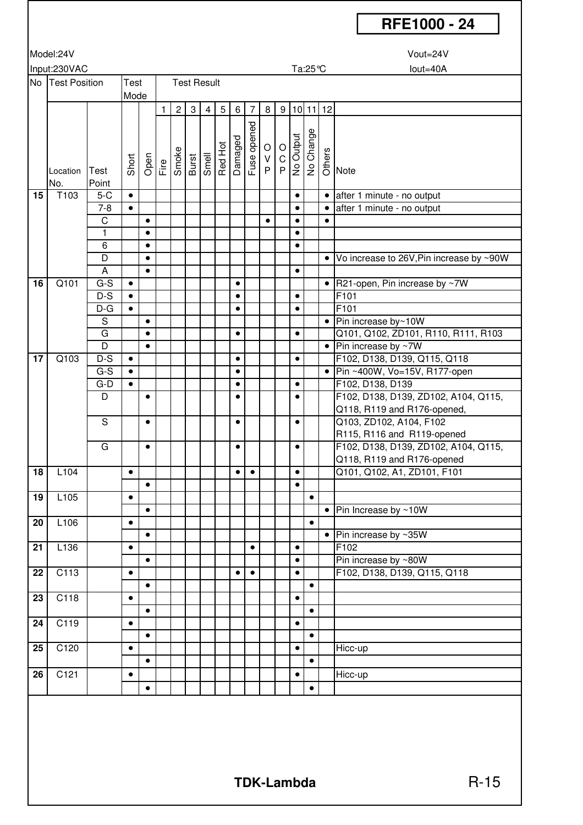|    |                  |                |              |           |   |                                                                                                                                                                                                                                                                                                                                                                                                                                                                                                                                                                                                                                                                                                                                         |              |                    |                    |           |                |           |                                                               |           |           |            | RFE1000 - 24                             |
|----|------------------|----------------|--------------|-----------|---|-----------------------------------------------------------------------------------------------------------------------------------------------------------------------------------------------------------------------------------------------------------------------------------------------------------------------------------------------------------------------------------------------------------------------------------------------------------------------------------------------------------------------------------------------------------------------------------------------------------------------------------------------------------------------------------------------------------------------------------------|--------------|--------------------|--------------------|-----------|----------------|-----------|---------------------------------------------------------------|-----------|-----------|------------|------------------------------------------|
|    | Model:24V        |                |              |           |   |                                                                                                                                                                                                                                                                                                                                                                                                                                                                                                                                                                                                                                                                                                                                         |              |                    |                    |           |                |           |                                                               |           |           |            | Vout=24V                                 |
|    |                  |                |              |           |   |                                                                                                                                                                                                                                                                                                                                                                                                                                                                                                                                                                                                                                                                                                                                         |              |                    |                    |           |                |           |                                                               |           |           |            |                                          |
|    | Input:230VAC     |                |              |           |   |                                                                                                                                                                                                                                                                                                                                                                                                                                                                                                                                                                                                                                                                                                                                         |              |                    |                    |           |                |           |                                                               |           | Ta:25℃    |            | lout=40A                                 |
|    | No Test Position |                | Test<br>Mode |           |   |                                                                                                                                                                                                                                                                                                                                                                                                                                                                                                                                                                                                                                                                                                                                         |              | <b>Test Result</b> |                    |           |                |           |                                                               |           |           |            |                                          |
|    |                  |                |              |           | 1 | $\overline{2}$                                                                                                                                                                                                                                                                                                                                                                                                                                                                                                                                                                                                                                                                                                                          | $\mathbf{3}$ | $\overline{4}$     | $5\,$              | 6         | $\overline{7}$ | 8         |                                                               |           |           | 9 10 11 12 |                                          |
|    |                  |                |              |           |   |                                                                                                                                                                                                                                                                                                                                                                                                                                                                                                                                                                                                                                                                                                                                         |              |                    |                    |           |                |           |                                                               |           |           |            |                                          |
|    |                  |                |              |           |   |                                                                                                                                                                                                                                                                                                                                                                                                                                                                                                                                                                                                                                                                                                                                         |              |                    |                    |           |                |           |                                                               |           |           |            |                                          |
|    |                  |                |              |           |   |                                                                                                                                                                                                                                                                                                                                                                                                                                                                                                                                                                                                                                                                                                                                         |              |                    |                    |           |                |           |                                                               |           |           |            |                                          |
|    |                  |                | Short        |           |   | $\begin{array}{c}\n\frac{\partial}{\partial \theta} \\ \frac{\partial}{\partial \theta} \\ \frac{\partial}{\partial \theta} \\ \frac{\partial}{\partial \theta} \\ \frac{\partial}{\partial \theta} \\ \frac{\partial}{\partial \theta} \\ \frac{\partial}{\partial \theta} \\ \frac{\partial}{\partial \theta} \\ \frac{\partial}{\partial \theta} \\ \frac{\partial}{\partial \theta} \\ \frac{\partial}{\partial \theta} \\ \frac{\partial}{\partial \theta} \\ \frac{\partial}{\partial \theta} \\ \frac{\partial}{\partial \theta} \\ \frac{\partial}{\partial \theta} \\ \frac{\partial}{\partial \theta} \\ \frac{\partial}{\partial \theta} \\ \frac{\partial}{\partial \theta} \\ \frac{\partial}{\partial \theta} \\ \frac{\$ |              |                    | Red Hot<br>Damaged |           | Fuse opened    |           | $\begin{array}{c}\n\hline\n\neg D & O \\ \hline\n\end{array}$ |           | No Change |            | se<br>O Note                             |
|    | Location         | Test           |              |           |   |                                                                                                                                                                                                                                                                                                                                                                                                                                                                                                                                                                                                                                                                                                                                         |              |                    |                    |           |                |           |                                                               |           |           |            |                                          |
|    | No.              | Point          |              |           |   |                                                                                                                                                                                                                                                                                                                                                                                                                                                                                                                                                                                                                                                                                                                                         |              |                    |                    |           |                |           |                                                               |           |           |            |                                          |
| 15 | T103             | $5-C$          | $\bullet$    |           |   |                                                                                                                                                                                                                                                                                                                                                                                                                                                                                                                                                                                                                                                                                                                                         |              |                    |                    |           |                |           |                                                               | $\bullet$ |           | $\bullet$  | after 1 minute - no output               |
|    |                  | $7 - 8$        | $\bullet$    |           |   |                                                                                                                                                                                                                                                                                                                                                                                                                                                                                                                                                                                                                                                                                                                                         |              |                    |                    |           |                |           |                                                               | $\bullet$ |           | $\bullet$  | after 1 minute - no output               |
|    |                  | $\overline{C}$ |              | $\bullet$ |   |                                                                                                                                                                                                                                                                                                                                                                                                                                                                                                                                                                                                                                                                                                                                         |              |                    |                    |           |                | $\bullet$ |                                                               | $\bullet$ |           | $\bullet$  |                                          |
|    |                  | 1              |              | $\bullet$ |   |                                                                                                                                                                                                                                                                                                                                                                                                                                                                                                                                                                                                                                                                                                                                         |              |                    |                    |           |                |           |                                                               | $\bullet$ |           |            |                                          |
|    |                  | 6              |              | $\bullet$ |   |                                                                                                                                                                                                                                                                                                                                                                                                                                                                                                                                                                                                                                                                                                                                         |              |                    |                    |           |                |           |                                                               | $\bullet$ |           |            |                                          |
|    |                  | $\overline{D}$ |              | $\bullet$ |   |                                                                                                                                                                                                                                                                                                                                                                                                                                                                                                                                                                                                                                                                                                                                         |              |                    |                    |           |                |           |                                                               |           |           | $\bullet$  | Vo increase to 26V, Pin increase by ~90W |
|    |                  | A              |              | $\bullet$ |   |                                                                                                                                                                                                                                                                                                                                                                                                                                                                                                                                                                                                                                                                                                                                         |              |                    |                    |           |                |           |                                                               | $\bullet$ |           |            |                                          |
| 16 | Q101             | $G-S$          | $\bullet$    |           |   |                                                                                                                                                                                                                                                                                                                                                                                                                                                                                                                                                                                                                                                                                                                                         |              |                    |                    | $\bullet$ |                |           |                                                               |           |           |            | • $R21$ -open, Pin increase by ~7W       |
|    |                  | $D-S$          | $\bullet$    |           |   |                                                                                                                                                                                                                                                                                                                                                                                                                                                                                                                                                                                                                                                                                                                                         |              |                    |                    | ٠         |                |           |                                                               | $\bullet$ |           |            | F101                                     |
|    |                  | $D-G$          | $\bullet$    |           |   |                                                                                                                                                                                                                                                                                                                                                                                                                                                                                                                                                                                                                                                                                                                                         |              |                    |                    | $\bullet$ |                |           |                                                               | $\bullet$ |           |            | F101                                     |
|    |                  | $\overline{s}$ |              | $\bullet$ |   |                                                                                                                                                                                                                                                                                                                                                                                                                                                                                                                                                                                                                                                                                                                                         |              |                    |                    |           |                |           |                                                               |           |           | $\bullet$  | Pin increase by~10W                      |
|    |                  | G              |              | $\bullet$ |   |                                                                                                                                                                                                                                                                                                                                                                                                                                                                                                                                                                                                                                                                                                                                         |              |                    |                    | $\bullet$ |                |           |                                                               | $\bullet$ |           |            | Q101, Q102, ZD101, R110, R111, R103      |
|    |                  | $\overline{D}$ |              | $\bullet$ |   |                                                                                                                                                                                                                                                                                                                                                                                                                                                                                                                                                                                                                                                                                                                                         |              |                    |                    |           |                |           |                                                               |           |           | $\bullet$  | Pin increase by ~7W                      |
| 17 | Q103             | $D-S$          | $\bullet$    |           |   |                                                                                                                                                                                                                                                                                                                                                                                                                                                                                                                                                                                                                                                                                                                                         |              |                    |                    | $\bullet$ |                |           |                                                               | $\bullet$ |           |            | F102, D138, D139, Q115, Q118             |
|    |                  | $G-S$          | $\bullet$    |           |   |                                                                                                                                                                                                                                                                                                                                                                                                                                                                                                                                                                                                                                                                                                                                         |              |                    |                    | $\bullet$ |                |           |                                                               |           |           | $\bullet$  | Pin ~400W, Vo=15V, R177-open             |
|    |                  | $G-D$          | $\bullet$    |           |   |                                                                                                                                                                                                                                                                                                                                                                                                                                                                                                                                                                                                                                                                                                                                         |              |                    |                    | ٠         |                |           |                                                               | $\bullet$ |           |            | F102, D138, D139                         |
|    |                  | D              |              | $\bullet$ |   |                                                                                                                                                                                                                                                                                                                                                                                                                                                                                                                                                                                                                                                                                                                                         |              |                    |                    | $\bullet$ |                |           |                                                               | $\bullet$ |           |            | F102, D138, D139, ZD102, A104, Q115,     |
|    |                  |                |              |           |   |                                                                                                                                                                                                                                                                                                                                                                                                                                                                                                                                                                                                                                                                                                                                         |              |                    |                    |           |                |           |                                                               |           |           |            | Q118, R119 and R176-opened,              |
|    |                  | S              |              | $\bullet$ |   |                                                                                                                                                                                                                                                                                                                                                                                                                                                                                                                                                                                                                                                                                                                                         |              |                    |                    | $\bullet$ |                |           |                                                               | $\bullet$ |           |            | Q103, ZD102, A104, F102                  |
|    |                  |                |              |           |   |                                                                                                                                                                                                                                                                                                                                                                                                                                                                                                                                                                                                                                                                                                                                         |              |                    |                    |           |                |           |                                                               |           |           |            | R115, R116 and R119-opened               |
|    |                  | G              |              | $\bullet$ |   |                                                                                                                                                                                                                                                                                                                                                                                                                                                                                                                                                                                                                                                                                                                                         |              |                    |                    | $\bullet$ |                |           |                                                               | $\bullet$ |           |            | F102, D138, D139, ZD102, A104, Q115,     |
|    |                  |                |              |           |   |                                                                                                                                                                                                                                                                                                                                                                                                                                                                                                                                                                                                                                                                                                                                         |              |                    |                    |           |                |           |                                                               |           |           |            | Q118, R119 and R176-opened               |
| 18 | L104             |                | $\bullet$    |           |   |                                                                                                                                                                                                                                                                                                                                                                                                                                                                                                                                                                                                                                                                                                                                         |              |                    |                    | $\bullet$ | $\bullet$      |           |                                                               | $\bullet$ |           |            | Q101, Q102, A1, ZD101, F101              |
|    |                  |                |              | $\bullet$ |   |                                                                                                                                                                                                                                                                                                                                                                                                                                                                                                                                                                                                                                                                                                                                         |              |                    |                    |           |                |           |                                                               | $\bullet$ |           |            |                                          |
| 19 | L105             |                | $\bullet$    |           |   |                                                                                                                                                                                                                                                                                                                                                                                                                                                                                                                                                                                                                                                                                                                                         |              |                    |                    |           |                |           |                                                               |           | $\bullet$ |            |                                          |
|    |                  |                |              | $\bullet$ |   |                                                                                                                                                                                                                                                                                                                                                                                                                                                                                                                                                                                                                                                                                                                                         |              |                    |                    |           |                |           |                                                               |           |           | $\bullet$  | Pin Increase by ~10W                     |
| 20 | L <sub>106</sub> |                | $\bullet$    |           |   |                                                                                                                                                                                                                                                                                                                                                                                                                                                                                                                                                                                                                                                                                                                                         |              |                    |                    |           |                |           |                                                               |           | $\bullet$ |            |                                          |
|    |                  |                |              | $\bullet$ |   |                                                                                                                                                                                                                                                                                                                                                                                                                                                                                                                                                                                                                                                                                                                                         |              |                    |                    |           |                |           |                                                               |           |           | $\bullet$  | Pin increase by ~35W                     |
| 21 | L136             |                | $\bullet$    |           |   |                                                                                                                                                                                                                                                                                                                                                                                                                                                                                                                                                                                                                                                                                                                                         |              |                    |                    |           | $\bullet$      |           |                                                               | $\bullet$ |           |            | F102                                     |
|    |                  |                |              | $\bullet$ |   |                                                                                                                                                                                                                                                                                                                                                                                                                                                                                                                                                                                                                                                                                                                                         |              |                    |                    |           |                |           |                                                               | $\bullet$ |           |            | Pin increase by ~80W                     |
| 22 | C113             |                | $\bullet$    |           |   |                                                                                                                                                                                                                                                                                                                                                                                                                                                                                                                                                                                                                                                                                                                                         |              |                    |                    | $\bullet$ | $\bullet$      |           |                                                               | $\bullet$ |           |            | F102, D138, D139, Q115, Q118             |
|    |                  |                |              | $\bullet$ |   |                                                                                                                                                                                                                                                                                                                                                                                                                                                                                                                                                                                                                                                                                                                                         |              |                    |                    |           |                |           |                                                               |           | $\bullet$ |            |                                          |
| 23 | C118             |                | $\bullet$    |           |   |                                                                                                                                                                                                                                                                                                                                                                                                                                                                                                                                                                                                                                                                                                                                         |              |                    |                    |           |                |           |                                                               | $\bullet$ |           |            |                                          |
|    |                  |                |              | $\bullet$ |   |                                                                                                                                                                                                                                                                                                                                                                                                                                                                                                                                                                                                                                                                                                                                         |              |                    |                    |           |                |           |                                                               |           | $\bullet$ |            |                                          |
| 24 | C119             |                | $\bullet$    |           |   |                                                                                                                                                                                                                                                                                                                                                                                                                                                                                                                                                                                                                                                                                                                                         |              |                    |                    |           |                |           |                                                               | $\bullet$ |           |            |                                          |
|    |                  |                |              | $\bullet$ |   |                                                                                                                                                                                                                                                                                                                                                                                                                                                                                                                                                                                                                                                                                                                                         |              |                    |                    |           |                |           |                                                               |           | $\bullet$ |            |                                          |
| 25 | C120             |                | $\bullet$    |           |   |                                                                                                                                                                                                                                                                                                                                                                                                                                                                                                                                                                                                                                                                                                                                         |              |                    |                    |           |                |           |                                                               | $\bullet$ |           |            | Hicc-up                                  |
|    |                  |                |              | $\bullet$ |   |                                                                                                                                                                                                                                                                                                                                                                                                                                                                                                                                                                                                                                                                                                                                         |              |                    |                    |           |                |           |                                                               |           | $\bullet$ |            |                                          |
| 26 | C121             |                | $\bullet$    |           |   |                                                                                                                                                                                                                                                                                                                                                                                                                                                                                                                                                                                                                                                                                                                                         |              |                    |                    |           |                |           |                                                               | $\bullet$ |           |            | Hicc-up                                  |
|    |                  |                |              | $\bullet$ |   |                                                                                                                                                                                                                                                                                                                                                                                                                                                                                                                                                                                                                                                                                                                                         |              |                    |                    |           |                |           |                                                               |           | $\bullet$ |            |                                          |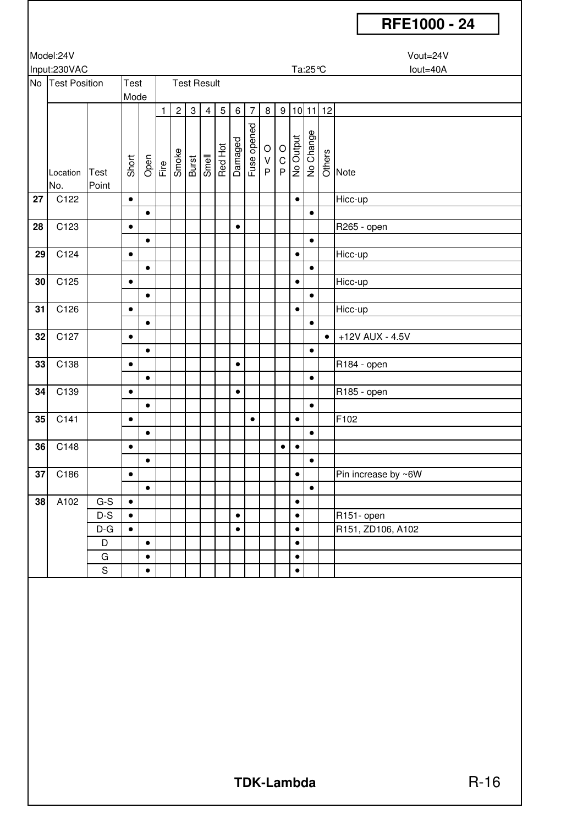|                 | Model:24V            |             |                    |           |   |                                                                                                                                                                                                  |              |                |            |           |                        |            |                      |           |                    | Vout=24V   |                     |  |  |
|-----------------|----------------------|-------------|--------------------|-----------|---|--------------------------------------------------------------------------------------------------------------------------------------------------------------------------------------------------|--------------|----------------|------------|-----------|------------------------|------------|----------------------|-----------|--------------------|------------|---------------------|--|--|
|                 | Input:230VAC<br>Test |             |                    |           |   |                                                                                                                                                                                                  |              |                |            |           |                        |            |                      |           | lout=40A<br>Ta:25℃ |            |                     |  |  |
|                 | No Test Position     |             | <b>Test Result</b> |           |   |                                                                                                                                                                                                  |              |                |            |           |                        |            |                      |           |                    |            |                     |  |  |
|                 |                      |             | Mode               |           |   |                                                                                                                                                                                                  |              |                |            |           |                        |            |                      |           |                    |            |                     |  |  |
|                 |                      |             |                    |           | 1 | $\overline{c}$                                                                                                                                                                                   | $\mathbf{3}$ | $\overline{4}$ | $\sqrt{5}$ | $\,6\,$   | $\overline{7}$         | $\,8\,$    | 9                    |           |                    | $10$ 11 12 |                     |  |  |
|                 |                      |             |                    |           |   |                                                                                                                                                                                                  |              |                |            |           |                        |            |                      |           |                    |            |                     |  |  |
|                 |                      |             |                    |           |   |                                                                                                                                                                                                  |              |                |            |           |                        |            |                      |           |                    |            |                     |  |  |
|                 |                      |             |                    |           |   |                                                                                                                                                                                                  |              |                |            |           | Damaged<br>Fuse opened |            | $\frac{1}{2}$ Output |           | No Change          |            |                     |  |  |
|                 |                      |             |                    |           |   | $\begin{array}{c}\n\text{Open} \\ \hline\n\text{File} \\ \hline\n\text{Line} \\ \hline\n\text{Line} \\ \hline\n\text{Line} \\ \hline\n\text{Line} \\ \hline\n\text{Line} \\ \hline\n\end{array}$ |              |                | Red Hot    |           |                        | $\rm _V^O$ |                      |           |                    |            | ge<br>O<br>Note     |  |  |
|                 | Location             | Test        | Short              |           |   |                                                                                                                                                                                                  |              |                |            |           |                        | P          |                      |           |                    |            |                     |  |  |
|                 | No.                  | Point       |                    |           |   |                                                                                                                                                                                                  |              |                |            |           |                        |            |                      |           |                    |            |                     |  |  |
| 27              | C122                 |             | $\bullet$          |           |   |                                                                                                                                                                                                  |              |                |            |           |                        |            |                      | $\bullet$ |                    |            | Hicc-up             |  |  |
|                 |                      |             |                    | $\bullet$ |   |                                                                                                                                                                                                  |              |                |            |           |                        |            |                      |           | $\bullet$          |            |                     |  |  |
| 28              | C123                 |             | $\bullet$          |           |   |                                                                                                                                                                                                  |              |                |            | $\bullet$ |                        |            |                      |           |                    |            | R265 - open         |  |  |
|                 |                      |             |                    | $\bullet$ |   |                                                                                                                                                                                                  |              |                |            |           |                        |            |                      |           | $\bullet$          |            |                     |  |  |
| 29              | C124                 |             | $\bullet$          |           |   |                                                                                                                                                                                                  |              |                |            |           |                        |            |                      | $\bullet$ |                    |            | Hicc-up             |  |  |
|                 |                      |             |                    | $\bullet$ |   |                                                                                                                                                                                                  |              |                |            |           |                        |            |                      |           | $\bullet$          |            |                     |  |  |
| 30 <sub>1</sub> | C125                 |             | $\bullet$          |           |   |                                                                                                                                                                                                  |              |                |            |           |                        |            |                      | $\bullet$ |                    |            | Hicc-up             |  |  |
|                 |                      |             |                    | $\bullet$ |   |                                                                                                                                                                                                  |              |                |            |           |                        |            |                      |           | $\bullet$          |            |                     |  |  |
| 31              | C126                 |             | $\bullet$          |           |   |                                                                                                                                                                                                  |              |                |            |           |                        |            |                      | $\bullet$ |                    |            | Hicc-up             |  |  |
|                 |                      |             |                    |           |   |                                                                                                                                                                                                  |              |                |            |           |                        |            |                      |           |                    |            |                     |  |  |
|                 |                      |             |                    | $\bullet$ |   |                                                                                                                                                                                                  |              |                |            |           |                        |            |                      |           | $\bullet$          |            |                     |  |  |
| 32              | C127                 |             | $\bullet$          |           |   |                                                                                                                                                                                                  |              |                |            |           |                        |            |                      |           |                    | $\bullet$  | +12V AUX - 4.5V     |  |  |
|                 |                      |             |                    | $\bullet$ |   |                                                                                                                                                                                                  |              |                |            |           |                        |            |                      |           | $\bullet$          |            |                     |  |  |
| 33              | C138                 |             | $\bullet$          |           |   |                                                                                                                                                                                                  |              |                |            | $\bullet$ |                        |            |                      |           |                    |            | R184 - open         |  |  |
|                 |                      |             |                    | $\bullet$ |   |                                                                                                                                                                                                  |              |                |            |           |                        |            |                      |           | $\bullet$          |            |                     |  |  |
| 34              | C139                 |             | $\bullet$          |           |   |                                                                                                                                                                                                  |              |                |            | $\bullet$ |                        |            |                      |           |                    |            | R185 - open         |  |  |
|                 |                      |             |                    | $\bullet$ |   |                                                                                                                                                                                                  |              |                |            |           |                        |            |                      |           | $\bullet$          |            |                     |  |  |
| 35              | C141                 |             | $\bullet$          |           |   |                                                                                                                                                                                                  |              |                |            |           | $\bullet$              |            |                      | $\bullet$ |                    |            | F102                |  |  |
|                 |                      |             |                    | $\bullet$ |   |                                                                                                                                                                                                  |              |                |            |           |                        |            |                      |           | $\bullet$          |            |                     |  |  |
| 36              | C148                 |             | $\bullet$          |           |   |                                                                                                                                                                                                  |              |                |            |           |                        |            | $\bullet$            | $\bullet$ |                    |            |                     |  |  |
|                 |                      |             |                    | $\bullet$ |   |                                                                                                                                                                                                  |              |                |            |           |                        |            |                      |           | $\bullet$          |            |                     |  |  |
| 37              | C186                 |             | $\bullet$          |           |   |                                                                                                                                                                                                  |              |                |            |           |                        |            |                      | $\bullet$ |                    |            | Pin increase by ~6W |  |  |
|                 |                      |             |                    | $\bullet$ |   |                                                                                                                                                                                                  |              |                |            |           |                        |            |                      |           | $\bullet$          |            |                     |  |  |
| 38              | A102                 | $G-S$       | $\bullet$          |           |   |                                                                                                                                                                                                  |              |                |            |           |                        |            |                      | $\bullet$ |                    |            |                     |  |  |
|                 |                      | $D-S$       | $\bullet$          |           |   |                                                                                                                                                                                                  |              |                |            | $\bullet$ |                        |            |                      | $\bullet$ |                    |            | R151- open          |  |  |
|                 |                      | $D-G$       | $\bullet$          |           |   |                                                                                                                                                                                                  |              |                |            | $\bullet$ |                        |            |                      | $\bullet$ |                    |            | R151, ZD106, A102   |  |  |
|                 |                      | D           |                    | $\bullet$ |   |                                                                                                                                                                                                  |              |                |            |           |                        |            |                      | $\bullet$ |                    |            |                     |  |  |
|                 |                      | G           |                    | $\bullet$ |   |                                                                                                                                                                                                  |              |                |            |           |                        |            |                      | $\bullet$ |                    |            |                     |  |  |
|                 |                      | $\mathsf S$ |                    | $\bullet$ |   |                                                                                                                                                                                                  |              |                |            |           |                        |            |                      | $\bullet$ |                    |            |                     |  |  |
|                 |                      |             |                    |           |   |                                                                                                                                                                                                  |              |                |            |           |                        |            |                      |           |                    |            |                     |  |  |
|                 |                      |             |                    |           |   |                                                                                                                                                                                                  |              |                |            |           |                        |            |                      |           |                    |            |                     |  |  |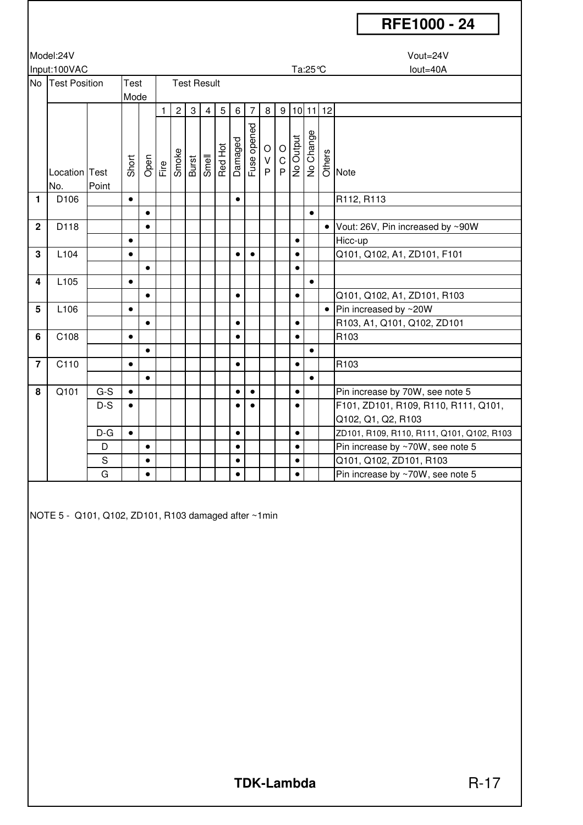#### Model:24V Vout=24V Input:100VAC lout=40A No Test Position | Test | Test Result Mode 1 2 3 4 5 6 7 8 9 10 11 12 Location Test Short Open<br>File<br>Smoke Burst Smell Red Hot Damaged Fuse opened O V P O C **P O Output**<br>No Output No Change Others Note No. Point **1** D106 • • R112, R113 • • **2** D118 • • Vout: 26V, Pin increased by ~90W • • Hicc-up **3** L104 • • • • Q101, Q102, A1, ZD101, F101 • • **4** L105 • • • • • Q101, Q102, A1, ZD101, R103 **5** L106 • • Pin increased by ~20W • • • R103, A1, Q101, Q102, ZD101 **6** C108 • • • R103 • • 7 | C110 | | ● | | | | | | |● | | |● | | |R103 • • **8** Q101 G-S • • • • Pin increase by 70W, see note 5 D-S • • • • F101, ZD101, R109, R110, R111, Q101, Q102, Q1, Q2, R103  $D-G \ \bullet | \ \parallel | \ \parallel | \ \parallel | \ \bullet | \ \parallel | \ \bullet | \ \parallel | \ \bullet | \ \parallel | \ \times$  ZD101, R109, R110, R111, Q101, Q102, R103 D • • • Pin increase by ~70W, see note 5 S • • • Q101, Q102, ZD101, R103 G • • • Pin increase by ~70W, see note 5

NOTE 5 - Q101, Q102, ZD101, R103 damaged after ~1min